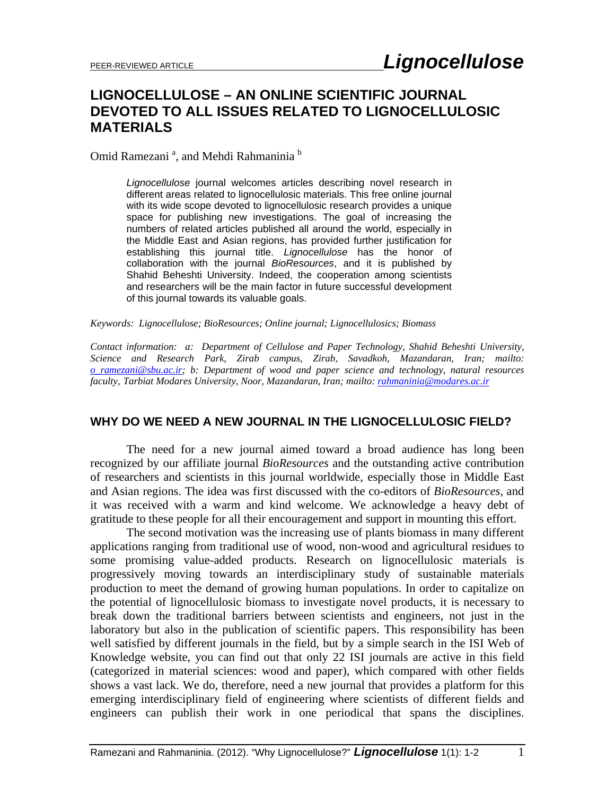# **LIGNOCELLULOSE – AN ONLINE SCIENTIFIC JOURNAL DEVOTED TO ALL ISSUES RELATED TO LIGNOCELLULOSIC MATERIALS**

Omid Ramezani<sup>a</sup>, and Mehdi Rahmaninia<sup>b</sup>

*Lignocellulose* journal welcomes articles describing novel research in different areas related to lignocellulosic materials. This free online journal with its wide scope devoted to lignocellulosic research provides a unique space for publishing new investigations. The goal of increasing the numbers of related articles published all around the world, especially in the Middle East and Asian regions, has provided further justification for establishing this journal title. *Lignocellulose* has the honor of collaboration with the journal *BioResources*, and it is published by Shahid Beheshti University. Indeed, the cooperation among scientists and researchers will be the main factor in future successful development of this journal towards its valuable goals.

*Keywords: Lignocellulose; BioResources; Online journal; Lignocellulosics; Biomass* 

*Contact information: a: Department of Cellulose and Paper Technology, Shahid Beheshti University, Science and Research Park, Zirab campus, Zirab, Savadkoh, Mazandaran, Iran; mailto: o\_ramezani@sbu.ac.ir; b: Department of wood and paper science and technology, natural resources faculty, Tarbiat Modares University, Noor, Mazandaran, Iran; mailto: rahmaninia@modares.ac.ir*

# **WHY DO WE NEED A NEW JOURNAL IN THE LIGNOCELLULOSIC FIELD?**

The need for a new journal aimed toward a broad audience has long been recognized by our affiliate journal *BioResources* and the outstanding active contribution of researchers and scientists in this journal worldwide, especially those in Middle East and Asian regions. The idea was first discussed with the co-editors of *BioResources*, and it was received with a warm and kind welcome. We acknowledge a heavy debt of gratitude to these people for all their encouragement and support in mounting this effort.

The second motivation was the increasing use of plants biomass in many different applications ranging from traditional use of wood, non-wood and agricultural residues to some promising value-added products. Research on lignocellulosic materials is progressively moving towards an interdisciplinary study of sustainable materials production to meet the demand of growing human populations. In order to capitalize on the potential of lignocellulosic biomass to investigate novel products, it is necessary to break down the traditional barriers between scientists and engineers, not just in the laboratory but also in the publication of scientific papers. This responsibility has been well satisfied by different journals in the field, but by a simple search in the ISI Web of Knowledge website, you can find out that only 22 ISI journals are active in this field (categorized in material sciences: wood and paper), which compared with other fields shows a vast lack. We do, therefore, need a new journal that provides a platform for this emerging interdisciplinary field of engineering where scientists of different fields and engineers can publish their work in one periodical that spans the disciplines.